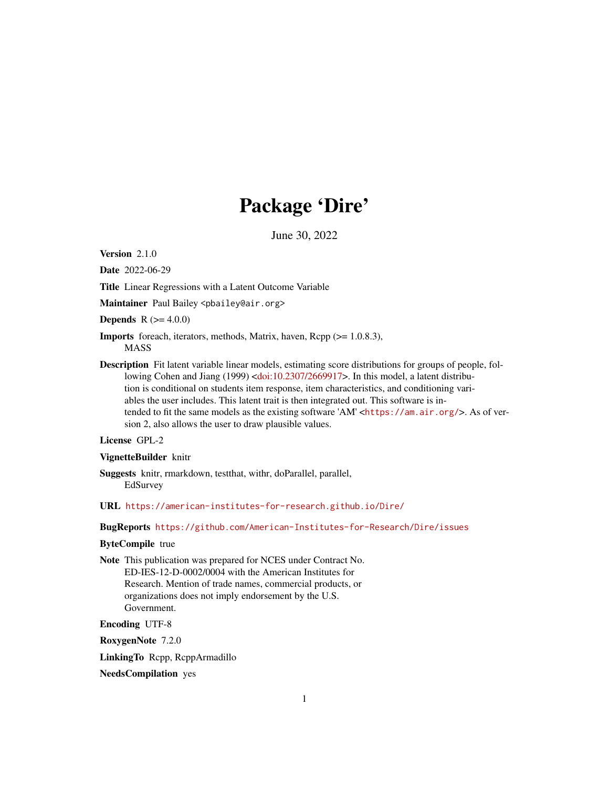# Package 'Dire'

June 30, 2022

Version 2.1.0

Date 2022-06-29

Title Linear Regressions with a Latent Outcome Variable

Maintainer Paul Bailey <pbailey@air.org>

**Depends** R  $(>= 4.0.0)$ 

- Imports foreach, iterators, methods, Matrix, haven, Rcpp (>= 1.0.8.3), MASS
- Description Fit latent variable linear models, estimating score distributions for groups of people, fol-lowing Cohen and Jiang (1999) [<doi:10.2307/2669917>](https://doi.org/10.2307/2669917). In this model, a latent distribution is conditional on students item response, item characteristics, and conditioning variables the user includes. This latent trait is then integrated out. This software is intended to fit the same models as the existing software 'AM' <<https://am.air.org/>>. As of version 2, also allows the user to draw plausible values.

#### License GPL-2

#### VignetteBuilder knitr

- Suggests knitr, rmarkdown, testthat, withr, doParallel, parallel, EdSurvey
- URL <https://american-institutes-for-research.github.io/Dire/>

BugReports <https://github.com/American-Institutes-for-Research/Dire/issues>

#### ByteCompile true

Note This publication was prepared for NCES under Contract No. ED-IES-12-D-0002/0004 with the American Institutes for Research. Mention of trade names, commercial products, or organizations does not imply endorsement by the U.S. Government.

Encoding UTF-8

RoxygenNote 7.2.0

LinkingTo Rcpp, RcppArmadillo

NeedsCompilation yes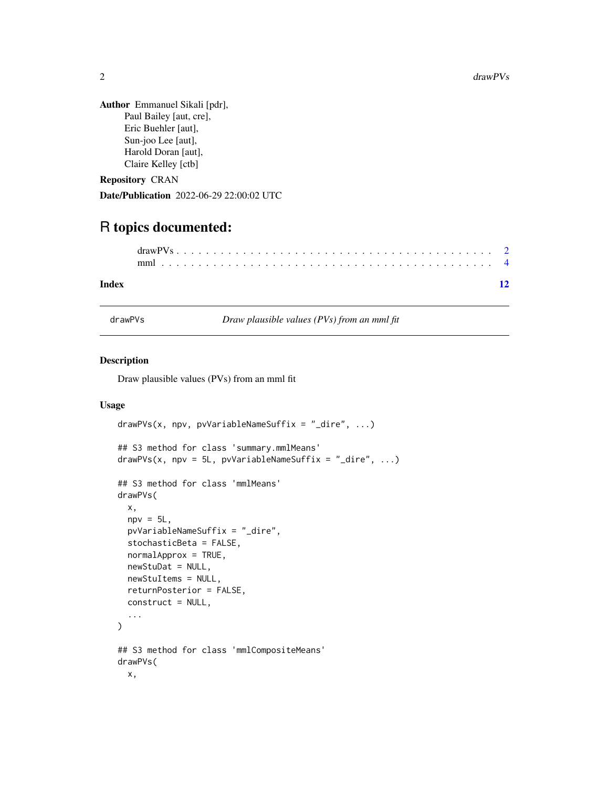<span id="page-1-0"></span>

| <b>Author</b> Emmanuel Sikali [pdr], |
|--------------------------------------|
| Paul Bailey [aut, cre],              |
| Eric Buehler [aut],                  |
| Sun-joo Lee [aut],                   |
| Harold Doran [aut],                  |
| Claire Kelley [ctb]                  |
|                                      |

Repository CRAN

Date/Publication 2022-06-29 22:00:02 UTC

# R topics documented:

| Index |  |  |  |  |  |  |  |  |  |  |  |  |  |  |  |  |  |  |  |  |
|-------|--|--|--|--|--|--|--|--|--|--|--|--|--|--|--|--|--|--|--|--|

drawPVs *Draw plausible values (PVs) from an mml fit*

### Description

Draw plausible values (PVs) from an mml fit

#### Usage

```
drawPVs(x, npv, pvVariableNameSuffix = "_dire", ...)## S3 method for class 'summary.mmlMeans'
drawPVs(x, npv = 5L, pvVariableNameSuffix = "_dire", ...)
## S3 method for class 'mmlMeans'
drawPVs(
  x,
  npv = 5L,
  pvVariableNameSuffix = "_dire",
  stochasticBeta = FALSE,
 normalApprox = TRUE,
  newStuDat = NULL,
 newStuItems = NULL,
  returnPosterior = FALSE,
  construct = NULL,
  ...
)
## S3 method for class 'mmlCompositeMeans'
drawPVs(
 x,
```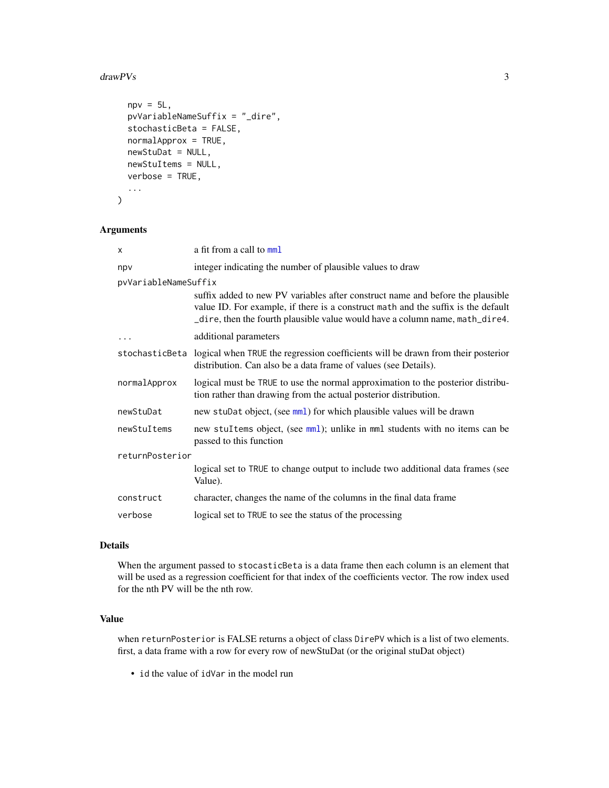#### <span id="page-2-0"></span> $drawPVs$  3

```
npv = 5L,
 pvVariableNameSuffix = "_dire",
  stochasticBeta = FALSE,
 normalApprox = TRUE,
  newStuDat = NULL,
 newStuItems = NULL,
 verbose = TRUE,
  ...
)
```
### Arguments

| X                    | a fit from a call to mml                                                                                                                                                                                                                            |  |  |  |  |  |  |  |
|----------------------|-----------------------------------------------------------------------------------------------------------------------------------------------------------------------------------------------------------------------------------------------------|--|--|--|--|--|--|--|
| npv                  | integer indicating the number of plausible values to draw                                                                                                                                                                                           |  |  |  |  |  |  |  |
| pvVariableNameSuffix |                                                                                                                                                                                                                                                     |  |  |  |  |  |  |  |
|                      | suffix added to new PV variables after construct name and before the plausible<br>value ID. For example, if there is a construct math and the suffix is the default<br>_dire, then the fourth plausible value would have a column name, math_dire4. |  |  |  |  |  |  |  |
| .                    | additional parameters                                                                                                                                                                                                                               |  |  |  |  |  |  |  |
|                      | stochasticBeta logical when TRUE the regression coefficients will be drawn from their posterior<br>distribution. Can also be a data frame of values (see Details).                                                                                  |  |  |  |  |  |  |  |
| normalApprox         | logical must be TRUE to use the normal approximation to the posterior distribu-<br>tion rather than drawing from the actual posterior distribution.                                                                                                 |  |  |  |  |  |  |  |
| newStuDat            | new stuDat object, (see mml) for which plausible values will be drawn                                                                                                                                                                               |  |  |  |  |  |  |  |
| newStuItems          | new stuItems object, (see mml); unlike in mml students with no items can be<br>passed to this function                                                                                                                                              |  |  |  |  |  |  |  |
| returnPosterior      |                                                                                                                                                                                                                                                     |  |  |  |  |  |  |  |
|                      | logical set to TRUE to change output to include two additional data frames (see<br>Value).                                                                                                                                                          |  |  |  |  |  |  |  |
| construct            | character, changes the name of the columns in the final data frame                                                                                                                                                                                  |  |  |  |  |  |  |  |
| verbose              | logical set to TRUE to see the status of the processing                                                                                                                                                                                             |  |  |  |  |  |  |  |

### Details

When the argument passed to stocasticBeta is a data frame then each column is an element that will be used as a regression coefficient for that index of the coefficients vector. The row index used for the nth PV will be the nth row.

## Value

when returnPosterior is FALSE returns a object of class DirePV which is a list of two elements. first, a data frame with a row for every row of newStuDat (or the original stuDat object)

• id the value of idVar in the model run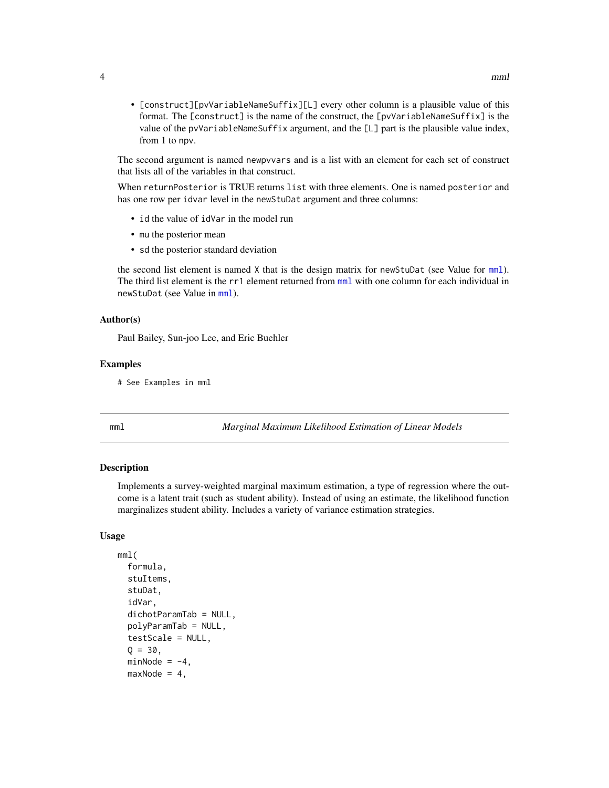<span id="page-3-0"></span>• [construct][pvVariableNameSuffix][L] every other column is a plausible value of this format. The [construct] is the name of the construct, the [pvVariableNameSuffix] is the value of the pvVariableNameSuffix argument, and the [L] part is the plausible value index, from 1 to npv.

The second argument is named newpvvars and is a list with an element for each set of construct that lists all of the variables in that construct.

When returnPosterior is TRUE returns list with three elements. One is named posterior and has one row per idvar level in the newStuDat argument and three columns:

- id the value of idVar in the model run
- mu the posterior mean
- sd the posterior standard deviation

the second list element is named  $X$  that is the design matrix for new StuDat (see Value for  $mm$ ). The third list element is the rr1 element returned from [mml](#page-3-1) with one column for each individual in newStuDat (see Value in [mml](#page-3-1)).

#### Author(s)

Paul Bailey, Sun-joo Lee, and Eric Buehler

#### Examples

```
# See Examples in mml
```
<span id="page-3-1"></span>mml *Marginal Maximum Likelihood Estimation of Linear Models*

#### Description

Implements a survey-weighted marginal maximum estimation, a type of regression where the outcome is a latent trait (such as student ability). Instead of using an estimate, the likelihood function marginalizes student ability. Includes a variety of variance estimation strategies.

#### Usage

```
mml(
  formula,
  stuItems,
  stuDat,
  idVar,
  dichotParamTab = NULL,
  polyParamTab = NULL,
  testScale = NULL,
  Q = 30,minNode = -4,
  maxNode = 4,
```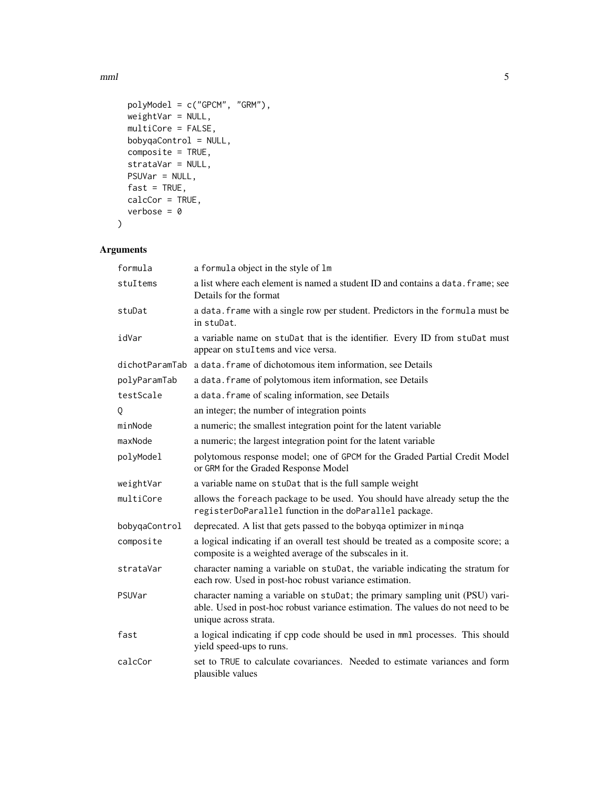$mml$  5

```
polyModel = c("GPCM", "GRM"),
 weightVar = NULL,
 multiCore = FALSE,
 bobyqaControl = NULL,
 composite = TRUE,
 strataVar = NULL,
 PSUVar = NULL,
 fast = TRUE,calcCor = TRUE,
 verbose = 0
\mathcal{L}
```
## Arguments

| formula        | a formula object in the style of 1m                                                                                                                                                      |
|----------------|------------------------------------------------------------------------------------------------------------------------------------------------------------------------------------------|
| stuItems       | a list where each element is named a student ID and contains a data. frame; see<br>Details for the format                                                                                |
| stuDat         | a data. frame with a single row per student. Predictors in the formula must be<br>in stuDat.                                                                                             |
| idVar          | a variable name on stuDat that is the identifier. Every ID from stuDat must<br>appear on stuItems and vice versa.                                                                        |
| dichotParamTab | a data. frame of dichotomous item information, see Details                                                                                                                               |
| polyParamTab   | a data. frame of polytomous item information, see Details                                                                                                                                |
| testScale      | a data. frame of scaling information, see Details                                                                                                                                        |
| Q              | an integer; the number of integration points                                                                                                                                             |
| minNode        | a numeric; the smallest integration point for the latent variable                                                                                                                        |
| maxNode        | a numeric; the largest integration point for the latent variable                                                                                                                         |
| polyModel      | polytomous response model; one of GPCM for the Graded Partial Credit Model<br>or GRM for the Graded Response Model                                                                       |
| weightVar      | a variable name on stuDat that is the full sample weight                                                                                                                                 |
| multiCore      | allows the foreach package to be used. You should have already setup the the<br>registerDoParallel function in the doParallel package.                                                   |
| bobyqaControl  | deprecated. A list that gets passed to the bobyqa optimizer in minqa                                                                                                                     |
| composite      | a logical indicating if an overall test should be treated as a composite score; a<br>composite is a weighted average of the subscales in it.                                             |
| strataVar      | character naming a variable on stuDat, the variable indicating the stratum for<br>each row. Used in post-hoc robust variance estimation.                                                 |
| PSUVar         | character naming a variable on stuDat; the primary sampling unit (PSU) vari-<br>able. Used in post-hoc robust variance estimation. The values do not need to be<br>unique across strata. |
| fast           | a logical indicating if cpp code should be used in mml processes. This should<br>yield speed-ups to runs.                                                                                |
| calcCor        | set to TRUE to calculate covariances. Needed to estimate variances and form<br>plausible values                                                                                          |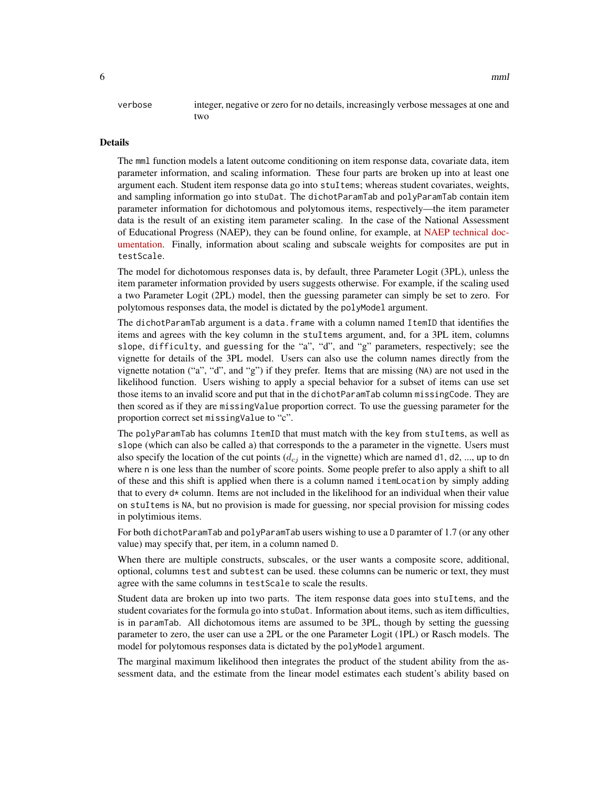verbose integer, negative or zero for no details, increasingly verbose messages at one and two

#### Details

The mml function models a latent outcome conditioning on item response data, covariate data, item parameter information, and scaling information. These four parts are broken up into at least one argument each. Student item response data go into stuItems; whereas student covariates, weights, and sampling information go into stuDat. The dichotParamTab and polyParamTab contain item parameter information for dichotomous and polytomous items, respectively—the item parameter data is the result of an existing item parameter scaling. In the case of the National Assessment of Educational Progress (NAEP), they can be found online, for example, at [NAEP technical doc](https://nces.ed.gov/nationsreportcard/tdw/analysis/scaling_irt.aspx)[umentation.](https://nces.ed.gov/nationsreportcard/tdw/analysis/scaling_irt.aspx) Finally, information about scaling and subscale weights for composites are put in testScale.

The model for dichotomous responses data is, by default, three Parameter Logit (3PL), unless the item parameter information provided by users suggests otherwise. For example, if the scaling used a two Parameter Logit (2PL) model, then the guessing parameter can simply be set to zero. For polytomous responses data, the model is dictated by the polyModel argument.

The dichotParamTab argument is a data.frame with a column named ItemID that identifies the items and agrees with the key column in the stuItems argument, and, for a 3PL item, columns slope, difficulty, and guessing for the "a", "d", and "g" parameters, respectively; see the vignette for details of the 3PL model. Users can also use the column names directly from the vignette notation ("a", "d", and "g") if they prefer. Items that are missing (NA) are not used in the likelihood function. Users wishing to apply a special behavior for a subset of items can use set those items to an invalid score and put that in the dichotParamTab column missingCode. They are then scored as if they are missingValue proportion correct. To use the guessing parameter for the proportion correct set missingValue to "c".

The polyParamTab has columns ItemID that must match with the key from stuItems, as well as slope (which can also be called a) that corresponds to the a parameter in the vignette. Users must also specify the location of the cut points  $(d_{cj}$  in the vignette) which are named d1, d2, ..., up to dn where n is one less than the number of score points. Some people prefer to also apply a shift to all of these and this shift is applied when there is a column named itemLocation by simply adding that to every  $d*$  column. Items are not included in the likelihood for an individual when their value on stuItems is NA, but no provision is made for guessing, nor special provision for missing codes in polytimious items.

For both dichotParamTab and polyParamTab users wishing to use a D paramter of 1.7 (or any other value) may specify that, per item, in a column named D.

When there are multiple constructs, subscales, or the user wants a composite score, additional, optional, columns test and subtest can be used. these columns can be numeric or text, they must agree with the same columns in testScale to scale the results.

Student data are broken up into two parts. The item response data goes into stuItems, and the student covariates for the formula go into stuDat. Information about items, such as item difficulties, is in paramTab. All dichotomous items are assumed to be 3PL, though by setting the guessing parameter to zero, the user can use a 2PL or the one Parameter Logit (1PL) or Rasch models. The model for polytomous responses data is dictated by the polyModel argument.

The marginal maximum likelihood then integrates the product of the student ability from the assessment data, and the estimate from the linear model estimates each student's ability based on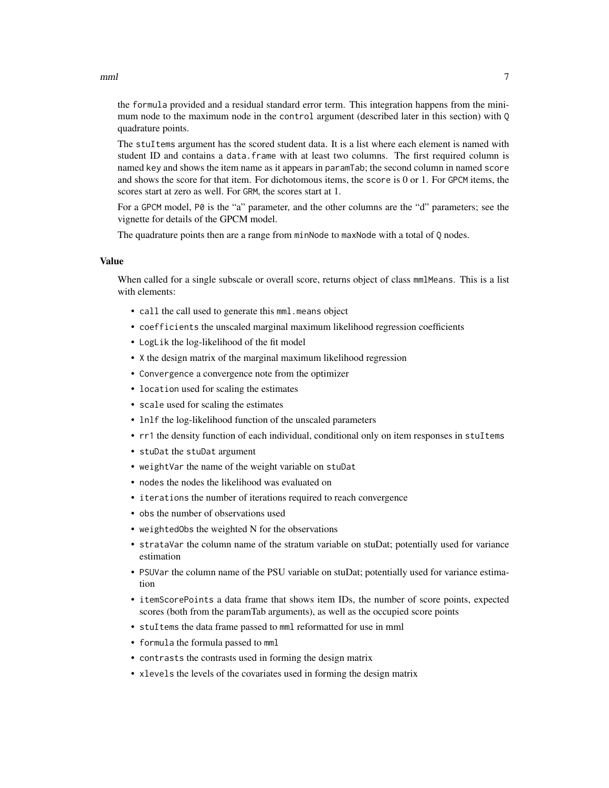$mml$  7

the formula provided and a residual standard error term. This integration happens from the minimum node to the maximum node in the control argument (described later in this section) with Q quadrature points.

The stuItems argument has the scored student data. It is a list where each element is named with student ID and contains a data.frame with at least two columns. The first required column is named key and shows the item name as it appears in paramTab; the second column in named score and shows the score for that item. For dichotomous items, the score is 0 or 1. For GPCM items, the scores start at zero as well. For GRM, the scores start at 1.

For a GPCM model, P0 is the "a" parameter, and the other columns are the "d" parameters; see the vignette for details of the GPCM model.

The quadrature points then are a range from minNode to maxNode with a total of Q nodes.

#### Value

When called for a single subscale or overall score, returns object of class mmlMeans. This is a list with elements:

- call the call used to generate this mml.means object
- coefficients the unscaled marginal maximum likelihood regression coefficients
- LogLik the log-likelihood of the fit model
- X the design matrix of the marginal maximum likelihood regression
- Convergence a convergence note from the optimizer
- location used for scaling the estimates
- scale used for scaling the estimates
- lnlf the log-likelihood function of the unscaled parameters
- rr1 the density function of each individual, conditional only on item responses in stuItems
- stuDat the stuDat argument
- weightVar the name of the weight variable on stuDat
- nodes the nodes the likelihood was evaluated on
- iterations the number of iterations required to reach convergence
- obs the number of observations used
- weightedObs the weighted N for the observations
- strataVar the column name of the stratum variable on stuDat; potentially used for variance estimation
- PSUVar the column name of the PSU variable on stuDat; potentially used for variance estimation
- itemScorePoints a data frame that shows item IDs, the number of score points, expected scores (both from the paramTab arguments), as well as the occupied score points
- stuItems the data frame passed to mml reformatted for use in mml
- formula the formula passed to mml
- contrasts the contrasts used in forming the design matrix
- xlevels the levels of the covariates used in forming the design matrix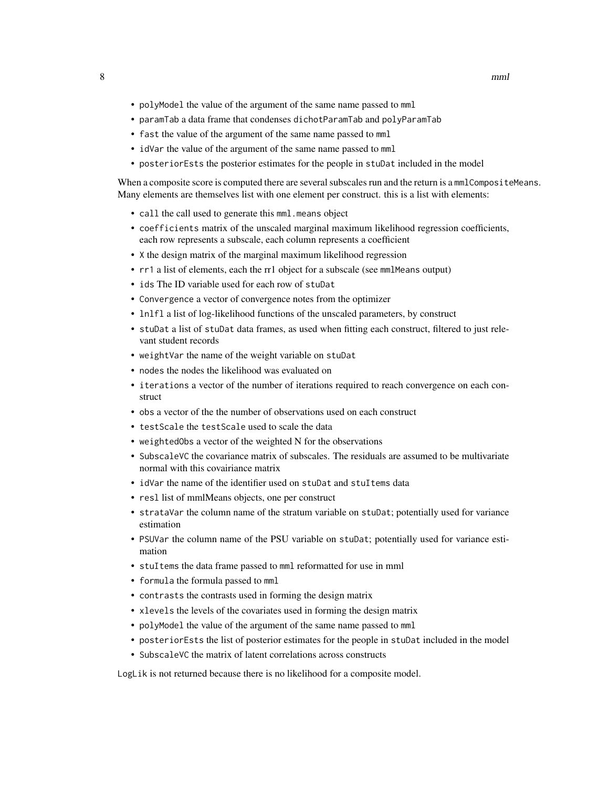- polyModel the value of the argument of the same name passed to mml
- paramTab a data frame that condenses dichotParamTab and polyParamTab
- fast the value of the argument of the same name passed to mml
- idVar the value of the argument of the same name passed to mml
- posteriorEsts the posterior estimates for the people in stuDat included in the model

When a composite score is computed there are several subscales run and the return is a mmlCompositeMeans. Many elements are themselves list with one element per construct. this is a list with elements:

- call the call used to generate this mml.means object
- coefficients matrix of the unscaled marginal maximum likelihood regression coefficients, each row represents a subscale, each column represents a coefficient
- X the design matrix of the marginal maximum likelihood regression
- rr1 a list of elements, each the rr1 object for a subscale (see mmlMeans output)
- ids The ID variable used for each row of stuDat
- Convergence a vector of convergence notes from the optimizer
- lnlfl a list of log-likelihood functions of the unscaled parameters, by construct
- stuDat a list of stuDat data frames, as used when fitting each construct, filtered to just relevant student records
- weightVar the name of the weight variable on stuDat
- nodes the nodes the likelihood was evaluated on
- iterations a vector of the number of iterations required to reach convergence on each construct
- obs a vector of the the number of observations used on each construct
- testScale the testScale used to scale the data
- weightedObs a vector of the weighted N for the observations
- SubscaleVC the covariance matrix of subscales. The residuals are assumed to be multivariate normal with this covairiance matrix
- idVar the name of the identifier used on stuDat and stuItems data
- resl list of mmlMeans objects, one per construct
- strataVar the column name of the stratum variable on stuDat; potentially used for variance estimation
- PSUVar the column name of the PSU variable on stuDat; potentially used for variance estimation
- stuItems the data frame passed to mml reformatted for use in mml
- formula the formula passed to mml
- contrasts the contrasts used in forming the design matrix
- xlevels the levels of the covariates used in forming the design matrix
- polyModel the value of the argument of the same name passed to mml
- posteriorEsts the list of posterior estimates for the people in stuDat included in the model
- SubscaleVC the matrix of latent correlations across constructs

LogLik is not returned because there is no likelihood for a composite model.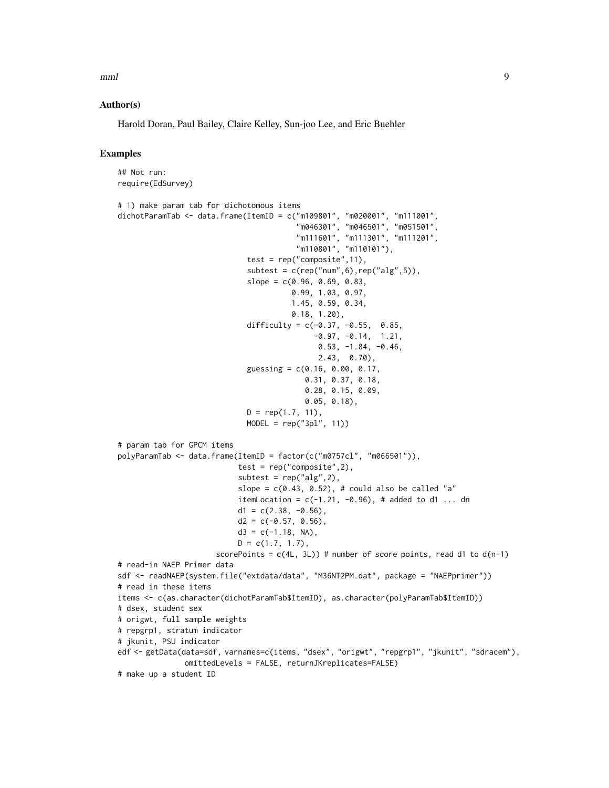$mml$  9

#### Author(s)

Harold Doran, Paul Bailey, Claire Kelley, Sun-joo Lee, and Eric Buehler

#### Examples

## Not run: require(EdSurvey)

```
# 1) make param tab for dichotomous items
dichotParamTab <- data.frame(ItemID = c("m109801", "m020001", "m111001",
                                         "m046301", "m046501", "m051501",
                                        "m111601", "m111301", "m111201",
                                        "m110801", "m110101"),
                             test = rep("composite", 11),
                             subtest = c(rep("num", 6), rep("alg", 5)),
                             slope = c(0.96, 0.69, 0.83,0.99, 1.03, 0.97,
                                       1.45, 0.59, 0.34,
                                       0.18, 1.20),
                             difficulty = c(-0.37, -0.55, 0.85,-0.97, -0.14, 1.21,0.53, -1.84, -0.46,
                                             2.43, 0.70),
                             guessing = c(0.16, 0.00, 0.17,0.31, 0.37, 0.18,
                                          0.28, 0.15, 0.09,
                                          0.05, 0.18),
                             D = rep(1.7, 11),MODEL = rep("3pl", 11))# param tab for GPCM items
polyParamTab <- data.frame(ItemID = factor(c("m0757cl", "m066501")),
                           test = rep("composite", 2),
                           subtest = rep("alg", 2),slope = c(0.43, 0.52), # could also be called "a"
                           itemLocation = c(-1.21, -0.96), # added to d1 ... dn
                           d1 = c(2.38, -0.56),
                           d2 = c(-0.57, 0.56),
                           d3 = c(-1.18, NA),
                           D = c(1.7, 1.7),
                      scorePoints = c(4L, 3L) # number of score points, read d1 to d(n-1)# read-in NAEP Primer data
sdf <- readNAEP(system.file("extdata/data", "M36NT2PM.dat", package = "NAEPprimer"))
# read in these items
items <- c(as.character(dichotParamTab$ItemID), as.character(polyParamTab$ItemID))
# dsex, student sex
# origwt, full sample weights
# repgrp1, stratum indicator
# jkunit, PSU indicator
edf <- getData(data=sdf, varnames=c(items, "dsex", "origwt", "repgrp1", "jkunit", "sdracem"),
               omittedLevels = FALSE, returnJKreplicates=FALSE)
# make up a student ID
```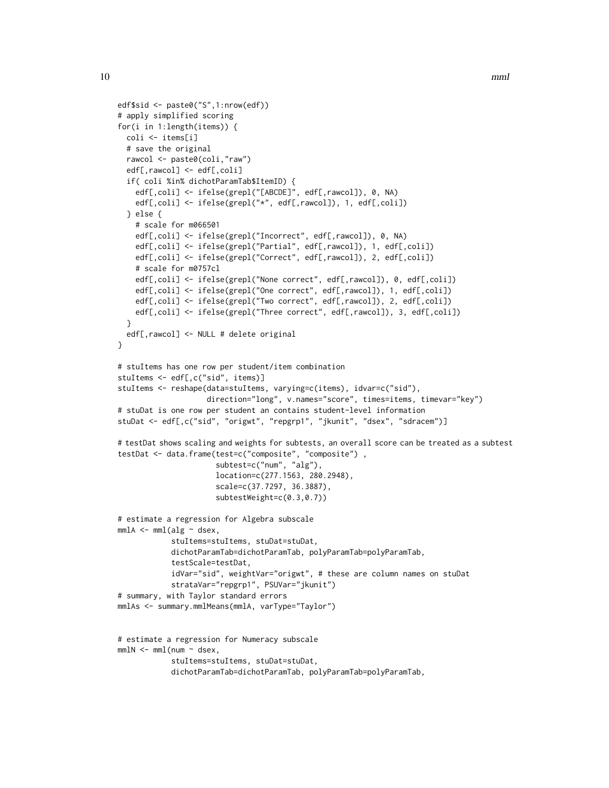```
edf$sid <- paste0("S",1:nrow(edf))
# apply simplified scoring
for(i in 1:length(items)) {
 coli <- items[i]
 # save the original
 rawcol <- paste0(coli,"raw")
 edf[,rawcol] <- edf[,coli]
 if( coli %in% dichotParamTab$ItemID) {
    edf[,coli] <- ifelse(grepl("[ABCDE]", edf[,rawcol]), 0, NA)
   edf[,coli] <- ifelse(grepl("*", edf[,rawcol]), 1, edf[,coli])
 } else {
    # scale for m066501
    edf[,coli] <- ifelse(grepl("Incorrect", edf[,rawcol]), 0, NA)
    edf[,coli] <- ifelse(grepl("Partial", edf[,rawcol]), 1, edf[,coli])
    edf[,coli] <- ifelse(grepl("Correct", edf[,rawcol]), 2, edf[,coli])
    # scale for m0757cl
    edf[,coli] <- ifelse(grepl("None correct", edf[,rawcol]), 0, edf[,coli])
    edf[,coli] <- ifelse(grepl("One correct", edf[,rawcol]), 1, edf[,coli])
   edf[,coli] <- ifelse(grepl("Two correct", edf[,rawcol]), 2, edf[,coli])
   edf[,coli] <- ifelse(grepl("Three correct", edf[,rawcol]), 3, edf[,coli])
 }
 edf[,rawcol] <- NULL # delete original
}
# stuItems has one row per student/item combination
stuItems <- edf[,c("sid", items)]
stuItems <- reshape(data=stuItems, varying=c(items), idvar=c("sid"),
                    direction="long", v.names="score", times=items, timevar="key")
# stuDat is one row per student an contains student-level information
stuDat <- edf[,c("sid", "origwt", "repgrp1", "jkunit", "dsex", "sdracem")]
# testDat shows scaling and weights for subtests, an overall score can be treated as a subtest
testDat <- data.frame(test=c("composite", "composite") ,
                      subtest=c("num", "alg"),
                      location=c(277.1563, 280.2948),
                      scale=c(37.7297, 36.3887),
                      subtestWeight=c(0.3,0.7))
# estimate a regression for Algebra subscale
mm1A \leq mml(alg \sim dsex,stuItems=stuItems, stuDat=stuDat,
            dichotParamTab=dichotParamTab, polyParamTab=polyParamTab,
            testScale=testDat,
            idVar="sid", weightVar="origwt", # these are column names on stuDat
            strataVar="repgrp1", PSUVar="jkunit")
# summary, with Taylor standard errors
mmlAs <- summary.mmlMeans(mmlA, varType="Taylor")
# estimate a regression for Numeracy subscale
mm1N < - mm1(num \sim desc,stuItems=stuItems, stuDat=stuDat,
```

```
dichotParamTab=dichotParamTab, polyParamTab=polyParamTab,
```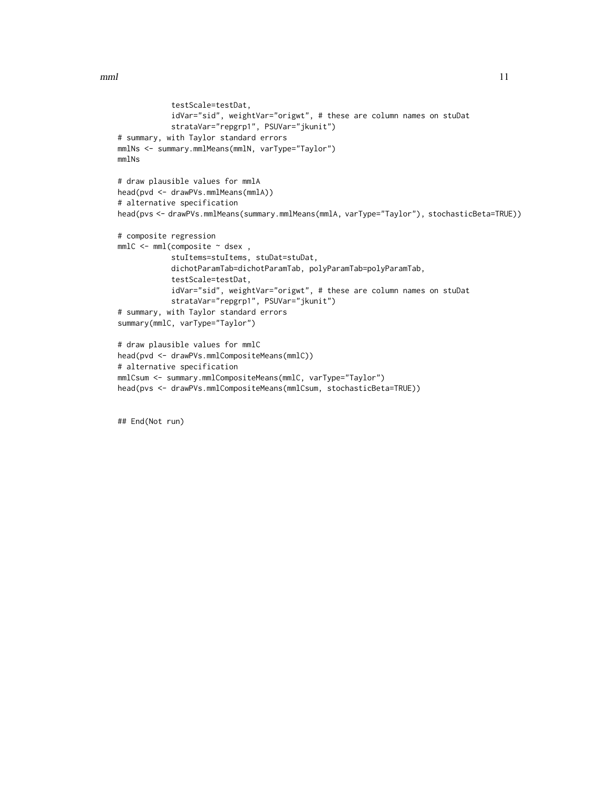```
testScale=testDat,
            idVar="sid", weightVar="origwt", # these are column names on stuDat
            strataVar="repgrp1", PSUVar="jkunit")
# summary, with Taylor standard errors
mmlNs <- summary.mmlMeans(mmlN, varType="Taylor")
mmlNs
# draw plausible values for mmlA
head(pvd <- drawPVs.mmlMeans(mmlA))
# alternative specification
head(pvs <- drawPVs.mmlMeans(summary.mmlMeans(mmlA, varType="Taylor"), stochasticBeta=TRUE))
# composite regression
mmIC < -mm[composition] \sim dsex,
            stuItems=stuItems, stuDat=stuDat,
            dichotParamTab=dichotParamTab, polyParamTab=polyParamTab,
            testScale=testDat,
            idVar="sid", weightVar="origwt", # these are column names on stuDat
            strataVar="repgrp1", PSUVar="jkunit")
# summary, with Taylor standard errors
summary(mmlC, varType="Taylor")
# draw plausible values for mmlC
head(pvd <- drawPVs.mmlCompositeMeans(mmlC))
# alternative specification
mmlCsum <- summary.mmlCompositeMeans(mmlC, varType="Taylor")
head(pvs <- drawPVs.mmlCompositeMeans(mmlCsum, stochasticBeta=TRUE))
```
## End(Not run)